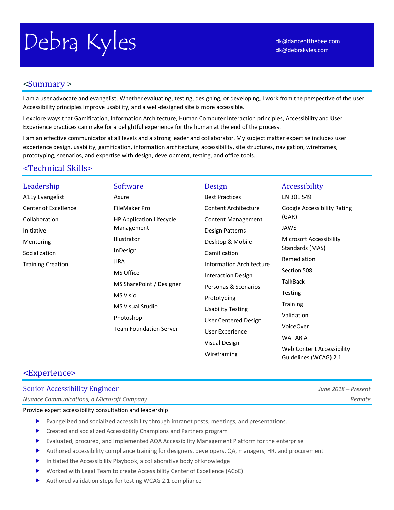# Debra Kyles [dk@danceofthebee.com](mailto:dk@danceofthebee.com)

# <Summary >

I am a user advocate and evangelist. Whether evaluating, testing, designing, or developing, I work from the perspective of the user. Accessibility principles improve usability, and a well-designed site is more accessible.

I explore ways that Gamification, Information Architecture, Human Computer Interaction principles, Accessibility and User Experience practices can make for a delightful experience for the human at the end of the process.

I am an effective communicator at all levels and a strong leader and collaborator. My subject matter expertise includes user experience design, usability, gamification, information architecture, accessibility, site structures, navigation, wireframes, prototyping, scenarios, and expertise with design, development, testing, and office tools.

# <Technical Skills>

#### Leadership A11y Evangelist Center of Excellence Collaboration Initiative Mentoring Socialization Training Creation Software Axure FileMaker Pro HP Application Lifecycle Management Illustrator InDesign JIRA MS Office MS SharePoint / Designer MS Visio MS Visual Studio Photoshop Team Foundation Server Design Best Practices Content Architecture Content Management Design Patterns Desktop & Mobile Gamification Information Architecture Interaction Design Personas & Scenarios Prototyping Usability Testing User Centered Design User Experience Visual Design Wireframing Accessibility EN 301 549 Google Accessibility Rating (GAR) JAWS Microsoft Accessibility Standards (MAS) Remediation Section 508 **TalkBack** Testing **Training** Validation VoiceOver WAI-ARIA Web Content Accessibility

# <Experience>

## Senior Accessibility Engineer *June 2018 – Present*

*Nuance Communications, a Microsoft Company Remote*

Provide expert accessibility consultation and leadership

- Evangelized and socialized accessibility through intranet posts, meetings, and presentations.
- **EXEC** Created and socialized Accessibility Champions and Partners program
- Evaluated, procured, and implemented AQA Accessibility Management Platform for the enterprise
- Authored accessibility compliance training for designers, developers, QA, managers, HR, and procurement
- Initiated the Accessibility Playbook, a collaborative body of knowledge
- Worked with Legal Team to create Accessibility Center of Excellence (ACoE)
- Authored validation steps for testing WCAG 2.1 compliance

Guidelines (WCAG) 2.1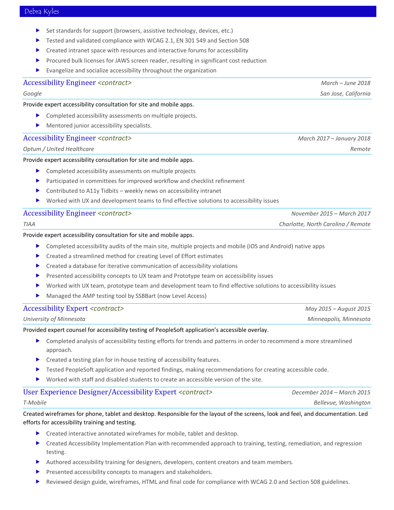- Set standards for support (browsers, assistive technology, devices, etc.)
- Tested and validated compliance with WCAG 2.1, EN 301 549 and Section 508
- Created intranet space with resources and interactive forums for accessibility
- Procured bulk licenses for JAWS screen reader, resulting in significant cost reduction
- Evangelize and socialize accessibility throughout the organization

#### Accessibility Engineer *<contract> March – June 2018*

Provide expert accessibility consultation for site and mobile apps.

- Completed accessibility assessments on multiple projects.
- Mentored junior accessibility specialists.

## Accessibility Engineer *<contract> March 2017 – January 2018*

*Optum / United Healthcare Remote*

#### Provide expert accessibility consultation for site and mobile apps.

- **EX Completed accessibility assessments on multiple projects**
- Participated in committees for improved workflow and checklist refinement
- Contributed to A11y Tidbits weekly news on accessibility intranet
- Worked with UX and development teams to find effective solutions to accessibility issues

#### Accessibility Engineer *<contract> November 2015 – March 2017*

| <b>TIAA</b> | Charlotte, North Carolina / Remote |
|-------------|------------------------------------|

#### Provide expert accessibility consultation for site and mobile apps.

- Completed accessibility audits of the main site, multiple projects and mobile (iOS and Android) native apps
- ▶ Created a streamlined method for creating Level of Effort estimates
- Created a database for iterative communication of accessibility violations
- Presented accessibility concepts to UX team and Prototype team on accessibility issues
- Worked with UX team, prototype team and development team to find effective solutions to accessibility issues
- Managed the AMP testing tool by SSBBart (now Level Access)

#### Accessibility Expert *<contract> May 2015 – August 2015*

|  | University of Minnesota |  |
|--|-------------------------|--|
|--|-------------------------|--|

Provided expert counsel for accessibility testing of PeopleSoft application's accessible overlay.

- Completed analysis of accessibility testing efforts for trends and patterns in order to recommend a more streamlined approach.
- $\triangleright$  Created a testing plan for in-house testing of accessibility features.
- Tested PeopleSoft application and reported findings, making recommendations for creating accessible code.
- Worked with staff and disabled students to create an accessible version of the site.

# User Experience Designer/Accessibility Expert *<contract> December 2014 – March 2015*

Created wireframes for phone, tablet and desktop. Responsible for the layout of the screens, look and feel, and documentation. Led efforts for accessibility training and testing.

- ▶ Created interactive annotated wireframes for mobile, tablet and desktop.
- **EXECTED ACCESSIBILITY Implementation Plan with recommended approach to training, testing, remediation, and regression** testing.
- Authored accessibility training for designers, developers, content creators and team members.
- Presented accessibility concepts to managers and stakeholders.
- Reviewed design guide, wireframes, HTML and final code for compliance with WCAG 2.0 and Section 508 guidelines.

*Google San Jose, California*

*University of Minnesota Minneapolis, Minnesota*

*T-Mobile Bellevue, Washington*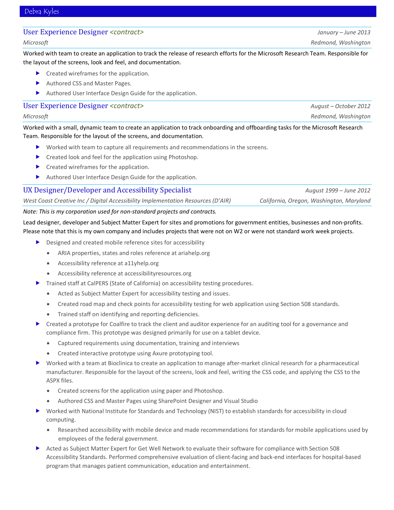## User Experience Designer *<contract> January – June 2013*

Worked with team to create an application to track the release of research efforts for the Microsoft Research Team. Responsible for the layout of the screens, look and feel, and documentation.

- **Created wireframes for the application.**
- Authored CSS and Master Pages.
- Authored User Interface Design Guide for the application.

## User Experience Designer *<contract> August – October 2012*

#### *Microsoft Redmond, Washington*

Worked with a small, dynamic team to create an application to track onboarding and offboarding tasks for the Microsoft Research Team. Responsible for the layout of the screens, and documentation.

- Worked with team to capture all requirements and recommendations in the screens.
- **Created look and feel for the application using Photoshop.**
- Created wireframes for the application.
- Authored User Interface Design Guide for the application.

| UX Designer/Developer and Accessibility Specialist                               | August 1999 – June 2012                  |
|----------------------------------------------------------------------------------|------------------------------------------|
| West Coast Creative Inc / Digital Accessibility Implementation Resources (D'AIR) | California, Oregon, Washington, Maryland |

## *Note: This is my corporation used for non-standard projects and contracts.*

Lead designer, developer and Subject Matter Expert for sites and promotions for government entities, businesses and non-profits. Please note that this is my own company and includes projects that were not on W2 or were not standard work week projects.

- ▶ Designed and created mobile reference sites for accessibility
	- ARIA properties, states and roles reference at ariahelp.org
	- Accessibility reference at a11yhelp.org
	- Accessibility reference at accessibilityresources.org
- Trained staff at CalPERS (State of California) on accessibility testing procedures.
	- Acted as Subject Matter Expert for accessibility testing and issues.
	- Created road map and check points for accessibility testing for web application using Section 508 standards.
	- Trained staff on identifying and reporting deficiencies.
- Created a prototype for Coalfire to track the client and auditor experience for an auditing tool for a governance and compliance firm. This prototype was designed primarily for use on a tablet device.
	- Captured requirements using documentation, training and interviews
	- Created interactive prototype using Axure prototyping tool.
- Worked with a team at Bioclinica to create an application to manage after-market clinical research for a pharmaceutical manufacturer. Responsible for the layout of the screens, look and feel, writing the CSS code, and applying the CSS to the ASPX files.
	- Created screens for the application using paper and Photoshop.
	- Authored CSS and Master Pages using SharePoint Designer and Visual Studio
- Worked with National Institute for Standards and Technology (NIST) to establish standards for accessibility in cloud computing.
	- Researched accessibility with mobile device and made recommendations for standards for mobile applications used by employees of the federal government.
- Acted as Subject Matter Expert for Get Well Network to evaluate their software for compliance with Section 508 Accessibility Standards. Performed comprehensive evaluation of client-facing and back-end interfaces for hospital-based program that manages patient communication, education and entertainment.

*Microsoft Redmond, Washington*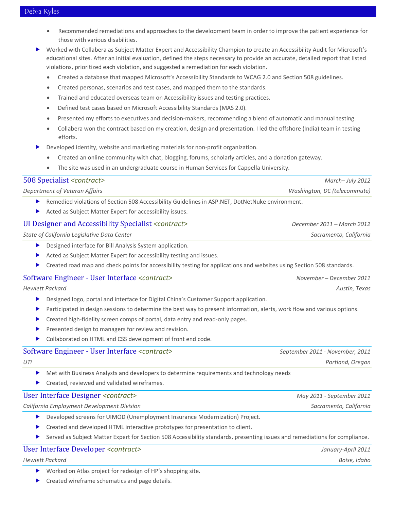- Recommended remediations and approaches to the development team in order to improve the patient experience for those with various disabilities.
- Worked with Collabera as Subject Matter Expert and Accessibility Champion to create an Accessibility Audit for Microsoft's educational sites. After an initial evaluation, defined the steps necessary to provide an accurate, detailed report that listed violations, prioritized each violation, and suggested a remediation for each violation.
	- Created a database that mapped Microsoft's Accessibility Standards to WCAG 2.0 and Section 508 guidelines.
	- Created personas, scenarios and test cases, and mapped them to the standards.
	- Trained and educated overseas team on Accessibility issues and testing practices.
	- Defined test cases based on Microsoft Accessibility Standards (MAS 2.0).
	- Presented my efforts to executives and decision-makers, recommending a blend of automatic and manual testing.
	- Collabera won the contract based on my creation, design and presentation. I led the offshore (India) team in testing efforts.
	- Developed identity, website and marketing materials for non-profit organization.
	- Created an online community with chat, blogging, forums, scholarly articles, and a donation gateway.
	- The site was used in an undergraduate course in Human Services for Cappella University.

#### 508 Specialist *<contract> March– July 2012*

*Department of Veteran Affairs Washington, DC (telecommute)*

- Remedied violations of Section 508 Accessibility Guidelines in ASP.NET, DotNetNuke environment.
- Acted as Subject Matter Expert for accessibility issues.

#### UI Designer and Accessibility Specialist *<contract> December 2011 – March 2012*

*State of California Legislative Data Center Sacramento, California*

- Designed interface for Bill Analysis System application.
- Acted as Subject Matter Expert for accessibility testing and issues.
- Created road map and check points for accessibility testing for applications and websites using Section 508 standards.

#### Software Engineer - User Interface *<contract> November – December 2011*

*Hewlett Packard Austin, Texas*

- Designed logo, portal and interface for Digital China's Customer Support application.
- Participated in design sessions to determine the best way to present information, alerts, work flow and various options.
- **Created high-fidelity screen comps of portal, data entry and read-only pages.**
- $\blacktriangleright$  Presented design to managers for review and revision.
- Collaborated on HTML and CSS development of front end code.

| Software Engineer - User Interface <contract></contract>                                                                                | September 2011 - November, 2011 |
|-----------------------------------------------------------------------------------------------------------------------------------------|---------------------------------|
| UTi                                                                                                                                     | Portland, Oregon                |
| Met with Business Analysts and developers to determine requirements and technology needs<br>Created, reviewed and validated wireframes. |                                 |
| User Interface Designer <contract></contract>                                                                                           | May 2011 - September 2011       |
| California Employment Development Division                                                                                              | Sacramento, California          |

- Developed screens for UIMOD (Unemployment Insurance Modernization) Project.
- **EXECTED EXECTED FIGHT CLASTER IN A LOCATE CONTROVER FOR A LOCATE CONTRACT CONTROVER THE CONTROVER FOR A LOCATE CONTROVER FOR A LOCATE CONTROVER FOR A LOCATE CONTROVER FOR A LOCATE CONTROVER FOR A LOCATE CONTROVER FOR A LO**
- Served as Subject Matter Expert for Section 508 Accessibility standards, presenting issues and remediations for compliance.

#### User Interface Developer *<contract> January-April 2011*

#### *Hewlett Packard Boise, Idaho*

- Worked on Atlas project for redesign of HP's shopping site.
- **Created wireframe schematics and page details.**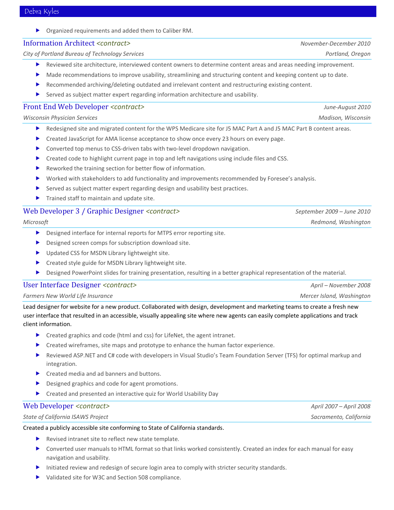Organized requirements and added them to Caliber RM.

#### Information Architect *<contract> November-December 2010*

*City of Portland Bureau of Technology Services Portland, Oregon*

- Reviewed site architecture, interviewed content owners to determine content areas and areas needing improvement.
- Made recommendations to improve usability, streamlining and structuring content and keeping content up to date.
- Recommended archiving/deleting outdated and irrelevant content and restructuring existing content.
- Served as subject matter expert regarding information architecture and usability.

### Front End Web Developer *<contract> June-August 2010*

*Wisconsin Physician Services Madison, Wisconsin*

- Redesigned site and migrated content for the WPS Medicare site for J5 MAC Part A and J5 MAC Part B content areas.
- Created JavaScript for AMA license acceptance to show once every 23 hours on every page.
- Converted top menus to CSS-driven tabs with two-level dropdown navigation.
- Created code to highlight current page in top and left navigations using include files and CSS.
- Reworked the training section for better flow of information.
- Worked with stakeholders to add functionality and improvements recommended by Foresee's analysis.
- Served as subject matter expert regarding design and usability best practices.
- $\blacktriangleright$  Trained staff to maintain and update site.

## Web Developer 3 / Graphic Designer *<contract> September 2009 – June 2010*

*Microsoft Redmond, Washington*

- Designed interface for internal reports for MTPS error reporting site.
- Designed screen comps for subscription download site.
- ▶ Updated CSS for MSDN Library lightweight site.
- **EXECUTE:** Created style guide for MSDN Library lightweight site.
- Designed PowerPoint slides for training presentation, resulting in a better graphical representation of the material.

#### User Interface Designer *<contract> April – November 2008*

*Farmers New World Life Insurance Mercer Island, Washington*

Lead designer for website for a new product. Collaborated with design, development and marketing teams to create a fresh new user interface that resulted in an accessible, visually appealing site where new agents can easily complete applications and track client information.

- **D** Created graphics and code (html and css) for LifeNet, the agent intranet.
- $\triangleright$  Created wireframes, site maps and prototype to enhance the human factor experience.
- Reviewed ASP.NET and C# code with developers in Visual Studio's Team Foundation Server (TFS) for optimal markup and integration.
- ▶ Created media and ad banners and buttons.
- Designed graphics and code for agent promotions.
- Created and presented an interactive quiz for World Usability Day

#### Web Developer *<contract> April 2007 – April 2008*

#### *State of California ISAWS Project Sacramento, California*

#### Created a publicly accessible site conforming to State of California standards.

- ▶ Revised intranet site to reflect new state template.
- Converted user manuals to HTML format so that links worked consistently. Created an index for each manual for easy navigation and usability.
- Initiated review and redesign of secure login area to comply with stricter security standards.
- Validated site for W3C and Section 508 compliance.